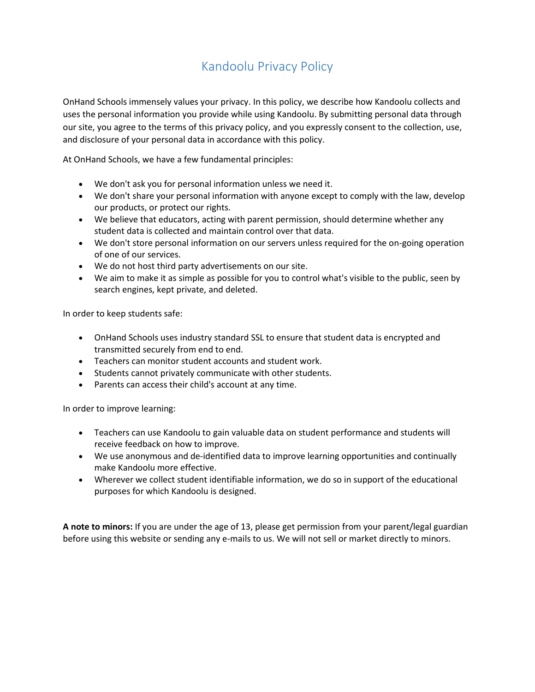# Kandoolu Privacy Policy

OnHand Schools immensely values your privacy. In this policy, we describe how Kandoolu collects and uses the personal information you provide while using Kandoolu. By submitting personal data through our site, you agree to the terms of this privacy policy, and you expressly consent to the collection, use, and disclosure of your personal data in accordance with this policy.

At OnHand Schools, we have a few fundamental principles:

- We don't ask you for personal information unless we need it.
- We don't share your personal information with anyone except to comply with the law, develop our products, or protect our rights.
- We believe that educators, acting with parent permission, should determine whether any student data is collected and maintain control over that data.
- We don't store personal information on our servers unless required for the on-going operation of one of our services.
- We do not host third party advertisements on our site.
- We aim to make it as simple as possible for you to control what's visible to the public, seen by search engines, kept private, and deleted.

In order to keep students safe:

- OnHand Schools uses industry standard SSL to ensure that student data is encrypted and transmitted securely from end to end.
- Teachers can monitor student accounts and student work.
- Students cannot privately communicate with other students.
- Parents can access their child's account at any time.

In order to improve learning:

- Teachers can use Kandoolu to gain valuable data on student performance and students will receive feedback on how to improve.
- We use anonymous and de-identified data to improve learning opportunities and continually make Kandoolu more effective.
- Wherever we collect student identifiable information, we do so in support of the educational purposes for which Kandoolu is designed.

**A note to minors:** If you are under the age of 13, please get permission from your parent/legal guardian before using this website or sending any e-mails to us. We will not sell or market directly to minors.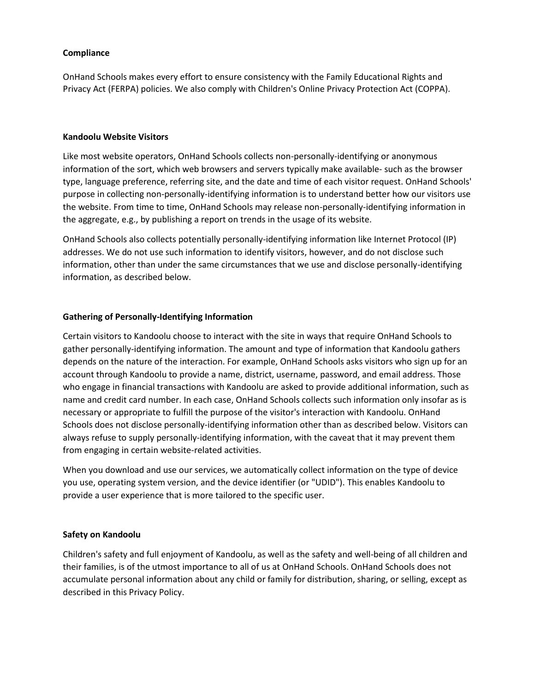#### **Compliance**

OnHand Schools makes every effort to ensure consistency with the Family Educational Rights and Privacy Act (FERPA) policies. We also comply with Children's Online Privacy Protection Act (COPPA).

#### **Kandoolu Website Visitors**

Like most website operators, OnHand Schools collects non-personally-identifying or anonymous information of the sort, which web browsers and servers typically make available- such as the browser type, language preference, referring site, and the date and time of each visitor request. OnHand Schools' purpose in collecting non-personally-identifying information is to understand better how our visitors use the website. From time to time, OnHand Schools may release non-personally-identifying information in the aggregate, e.g., by publishing a report on trends in the usage of its website.

OnHand Schools also collects potentially personally-identifying information like Internet Protocol (IP) addresses. We do not use such information to identify visitors, however, and do not disclose such information, other than under the same circumstances that we use and disclose personally-identifying information, as described below.

#### **Gathering of Personally-Identifying Information**

Certain visitors to Kandoolu choose to interact with the site in ways that require OnHand Schools to gather personally-identifying information. The amount and type of information that Kandoolu gathers depends on the nature of the interaction. For example, OnHand Schools asks visitors who sign up for an account through Kandoolu to provide a name, district, username, password, and email address. Those who engage in financial transactions with Kandoolu are asked to provide additional information, such as name and credit card number. In each case, OnHand Schools collects such information only insofar as is necessary or appropriate to fulfill the purpose of the visitor's interaction with Kandoolu. OnHand Schools does not disclose personally-identifying information other than as described below. Visitors can always refuse to supply personally-identifying information, with the caveat that it may prevent them from engaging in certain website-related activities.

When you download and use our services, we automatically collect information on the type of device you use, operating system version, and the device identifier (or "UDID"). This enables Kandoolu to provide a user experience that is more tailored to the specific user.

#### **Safety on Kandoolu**

Children's safety and full enjoyment of Kandoolu, as well as the safety and well-being of all children and their families, is of the utmost importance to all of us at OnHand Schools. OnHand Schools does not accumulate personal information about any child or family for distribution, sharing, or selling, except as described in this Privacy Policy.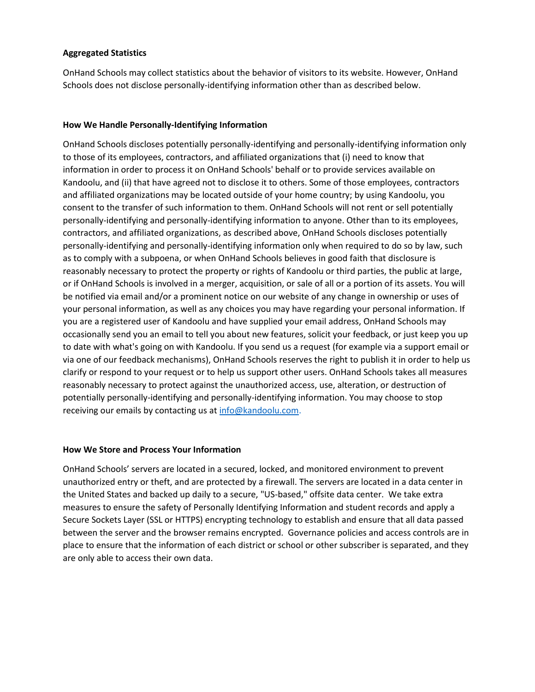### **Aggregated Statistics**

OnHand Schools may collect statistics about the behavior of visitors to its website. However, OnHand Schools does not disclose personally-identifying information other than as described below.

#### **How We Handle Personally-Identifying Information**

OnHand Schools discloses potentially personally-identifying and personally-identifying information only to those of its employees, contractors, and affiliated organizations that (i) need to know that information in order to process it on OnHand Schools' behalf or to provide services available on Kandoolu, and (ii) that have agreed not to disclose it to others. Some of those employees, contractors and affiliated organizations may be located outside of your home country; by using Kandoolu, you consent to the transfer of such information to them. OnHand Schools will not rent or sell potentially personally-identifying and personally-identifying information to anyone. Other than to its employees, contractors, and affiliated organizations, as described above, OnHand Schools discloses potentially personally-identifying and personally-identifying information only when required to do so by law, such as to comply with a subpoena, or when OnHand Schools believes in good faith that disclosure is reasonably necessary to protect the property or rights of Kandoolu or third parties, the public at large, or if OnHand Schools is involved in a merger, acquisition, or sale of all or a portion of its assets. You will be notified via email and/or a prominent notice on our website of any change in ownership or uses of your personal information, as well as any choices you may have regarding your personal information. If you are a registered user of Kandoolu and have supplied your email address, OnHand Schools may occasionally send you an email to tell you about new features, solicit your feedback, or just keep you up to date with what's going on with Kandoolu. If you send us a request (for example via a support email or via one of our feedback mechanisms), OnHand Schools reserves the right to publish it in order to help us clarify or respond to your request or to help us support other users. OnHand Schools takes all measures reasonably necessary to protect against the unauthorized access, use, alteration, or destruction of potentially personally-identifying and personally-identifying information. You may choose to stop receiving our emails by contacting us at [info@kandoolu.com.](mailto:info@kandoolu.com)

#### **How We Store and Process Your Information**

OnHand Schools' servers are located in a secured, locked, and monitored environment to prevent unauthorized entry or theft, and are protected by a firewall. The servers are located in a data center in the United States and backed up daily to a secure, "US-based," offsite data center. We take extra measures to ensure the safety of Personally Identifying Information and student records and apply a Secure Sockets Layer (SSL or HTTPS) encrypting technology to establish and ensure that all data passed between the server and the browser remains encrypted. Governance policies and access controls are in place to ensure that the information of each district or school or other subscriber is separated, and they are only able to access their own data.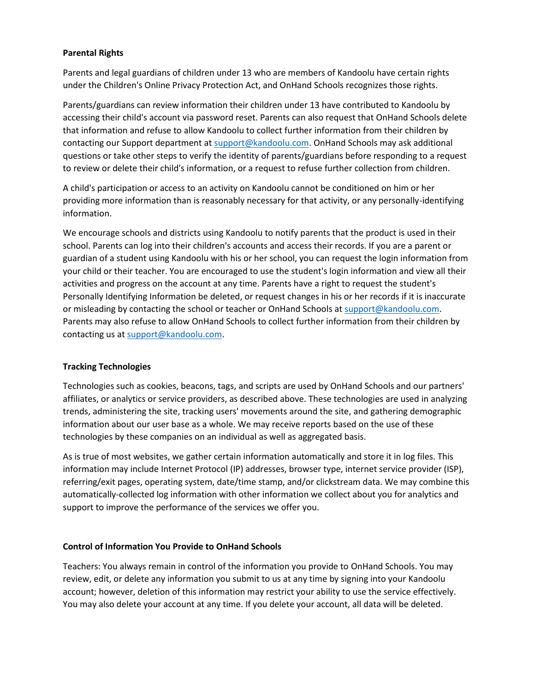### **Parental Rights**

Parents and legal guardians of children under 13 who are members of Kandoolu have certain rights under the Children's Online Privacy Protection Act, and OnHand Schools recognizes those rights.

Parents/guardians can review information their children under 13 have contributed to Kandoolu by accessing their child's account via password reset. Parents can also request that OnHand Schools delete that information and refuse to allow Kandoolu to collect further information from their children by contacting our Support department at [support@kandoolu.com.](support@kandoolu.com) OnHand Schools may ask additional questions or take other steps to verify the identity of parents/guardians before responding to a request to review or delete their child's information, or a request to refuse further collection from children.

A child's participation or access to an activity on Kandoolu cannot be conditioned on him or her providing more information than is reasonably necessary for that activity, or any personally-identifying information.

We encourage schools and districts using Kandoolu to notify parents that the product is used in their school. Parents can log into their children's accounts and access their records. If you are a parent or guardian of a student using Kandoolu with his or her school, you can request the login information from your child or their teacher. You are encouraged to use the student's login information and view all their activities and progress on the account at any time. Parents have a right to request the student's Personally Identifying Information be deleted, or request changes in his or her records if it is inaccurate or misleading by contacting the school or teacher or OnHand Schools at [support@kandoolu.com.](support@kandoolu.com) Parents may also refuse to allow OnHand Schools to collect further information from their children by contacting us a[t support@kandoolu.com.](support@kandoolu.com)

#### **Tracking Technologies**

Technologies such as cookies, beacons, tags, and scripts are used by OnHand Schools and our partners' affiliates, or analytics or service providers, as described above. These technologies are used in analyzing trends, administering the site, tracking users' movements around the site, and gathering demographic information about our user base as a whole. We may receive reports based on the use of these technologies by these companies on an individual as well as aggregated basis.

As is true of most websites, we gather certain information automatically and store it in log files. This information may include Internet Protocol (IP) addresses, browser type, internet service provider (ISP), referring/exit pages, operating system, date/time stamp, and/or clickstream data. We may combine this automatically-collected log information with other information we collect about you for analytics and support to improve the performance of the services we offer you.

#### **Control of Information You Provide to OnHand Schools**

Teachers: You always remain in control of the information you provide to OnHand Schools. You may review, edit, or delete any information you submit to us at any time by signing into your Kandoolu account; however, deletion of this information may restrict your ability to use the service effectively. You may also delete your account at any time. If you delete your account, all data will be deleted.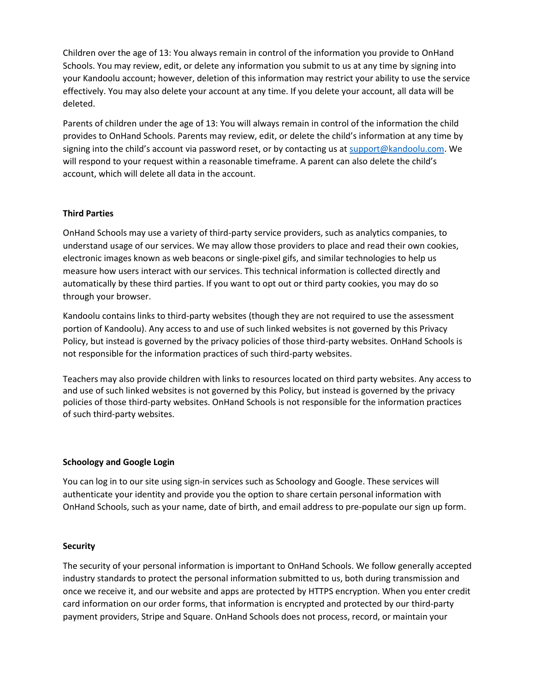Children over the age of 13: You always remain in control of the information you provide to OnHand Schools. You may review, edit, or delete any information you submit to us at any time by signing into your Kandoolu account; however, deletion of this information may restrict your ability to use the service effectively. You may also delete your account at any time. If you delete your account, all data will be deleted.

Parents of children under the age of 13: You will always remain in control of the information the child provides to OnHand Schools. Parents may review, edit, or delete the child's information at any time by signing into the child's account via password reset, or by contacting us at [support@kandoolu.com.](support@kandoolu.com) We will respond to your request within a reasonable timeframe. A parent can also delete the child's account, which will delete all data in the account.

### **Third Parties**

OnHand Schools may use a variety of third-party service providers, such as analytics companies, to understand usage of our services. We may allow those providers to place and read their own cookies, electronic images known as web beacons or single-pixel gifs, and similar technologies to help us measure how users interact with our services. This technical information is collected directly and automatically by these third parties. If you want to opt out or third party cookies, you may do so through your browser.

Kandoolu contains links to third-party websites (though they are not required to use the assessment portion of Kandoolu). Any access to and use of such linked websites is not governed by this Privacy Policy, but instead is governed by the privacy policies of those third-party websites. OnHand Schools is not responsible for the information practices of such third-party websites.

Teachers may also provide children with links to resources located on third party websites. Any access to and use of such linked websites is not governed by this Policy, but instead is governed by the privacy policies of those third-party websites. OnHand Schools is not responsible for the information practices of such third-party websites.

#### **Schoology and Google Login**

You can log in to our site using sign-in services such as Schoology and Google. These services will authenticate your identity and provide you the option to share certain personal information with OnHand Schools, such as your name, date of birth, and email address to pre-populate our sign up form.

## **Security**

The security of your personal information is important to OnHand Schools. We follow generally accepted industry standards to protect the personal information submitted to us, both during transmission and once we receive it, and our website and apps are protected by HTTPS encryption. When you enter credit card information on our order forms, that information is encrypted and protected by our third-party payment providers, Stripe and Square. OnHand Schools does not process, record, or maintain your